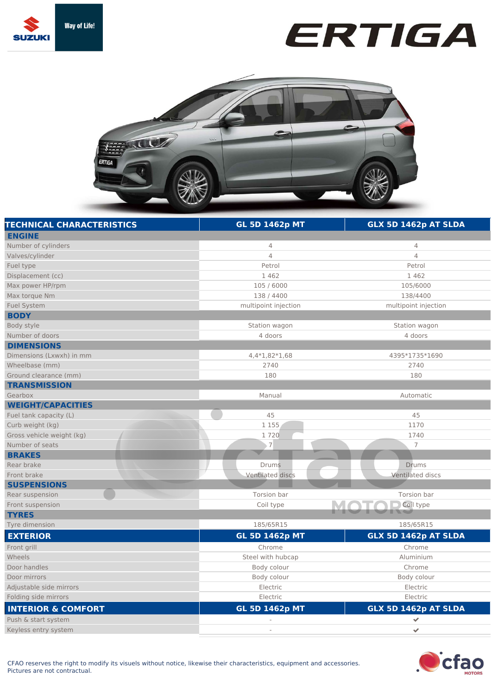





| <b>TECHNICAL CHARACTERISTICS</b> | <b>GL 5D 1462p MT</b>   | GLX 5D 1462p AT SLDA    |
|----------------------------------|-------------------------|-------------------------|
| <b>ENGINE</b>                    |                         |                         |
| Number of cylinders              | 4                       | 4                       |
| Valves/cylinder                  | $\overline{4}$          | $\overline{4}$          |
| Fuel type                        | Petrol                  | Petrol                  |
| Displacement (cc)                | 1 4 6 2                 | 1462                    |
| Max power HP/rpm                 | 105 / 6000              | 105/6000                |
| Max torque Nm                    | 138 / 4400              | 138/4400                |
| <b>Fuel System</b>               | multipoint injection    | multipoint injection    |
| <b>BODY</b>                      |                         |                         |
| Body style                       | Station wagon           | Station wagon           |
| Number of doors                  | 4 doors                 | 4 doors                 |
| <b>DIMENSIONS</b>                |                         |                         |
| Dimensions (Lxwxh) in mm         | 4,4*1,82*1,68           | 4395*1735*1690          |
| Wheelbase (mm)                   | 2740                    | 2740                    |
| Ground clearance (mm)            | 180                     | 180                     |
| <b>TRANSMISSION</b>              |                         |                         |
| Gearbox                          | Manual                  | Automatic               |
| <b>WEIGHT/CAPACITIES</b>         |                         |                         |
| Fuel tank capacity (L)           | 45                      | 45                      |
| Curb weight (kg)                 | 1 1 5 5                 | 1170                    |
| Gross vehicle weight (kg)        | 1720                    | 1740                    |
| Number of seats                  | , 7                     | $\overline{7}$          |
| <b>BRAKES</b>                    |                         |                         |
| Rear brake                       | <b>Drums</b>            | Drums                   |
| Front brake                      | <b>Ventilated discs</b> | <b>Ventilated discs</b> |
| <b>SUSPENSIONS</b>               |                         |                         |
| Rear suspension                  | Torsion bar             | Torsion bar             |
| Front suspension                 | Coil type               | Coil type               |
| <b>TYRES</b>                     |                         |                         |
| Tyre dimension                   | 185/65R15               | 185/65R15               |
| <b>EXTERIOR</b>                  | <b>GL 5D 1462p MT</b>   | GLX 5D 1462p AT SLDA    |
| Front grill                      | Chrome                  | Chrome                  |
| Wheels                           | Steel with hubcap       | Aluminium               |
| Door handles                     | Body colour             | Chrome                  |
| Door mirrors                     | Body colour             | Body colour             |
| Adjustable side mirrors          | Electric                | Electric                |
| Folding side mirrors             | Electric                | Electric                |
| <b>INTERIOR &amp; COMFORT</b>    | <b>GL 5D 1462p MT</b>   | GLX 5D 1462p AT SLDA    |
| Push & start system              |                         | ✔                       |
| Keyless entry system             |                         | $\checkmark$            |